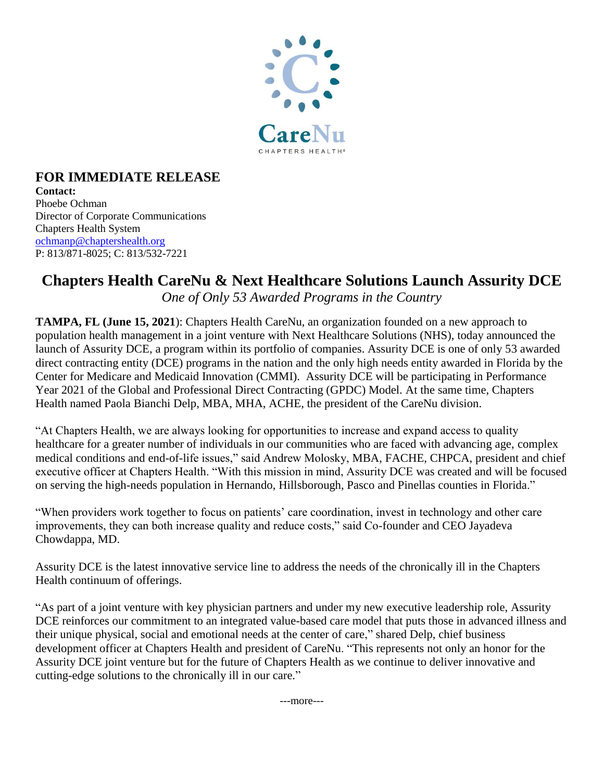

## **FOR IMMEDIATE RELEASE Contact:**

Phoebe Ochman Director of Corporate Communications Chapters Health System [ochmanp@chaptershealth.org](mailto:ochmanp@chaptershealth.org) P: 813/871-8025; C: 813/532-7221

# **Chapters Health CareNu & Next Healthcare Solutions Launch Assurity DCE** *One of Only 53 Awarded Programs in the Country*

**TAMPA, FL (June 15, 2021**): Chapters Health CareNu, an organization founded on a new approach to population health management in a joint venture with Next Healthcare Solutions (NHS), today announced the launch of Assurity DCE, a program within its portfolio of companies. Assurity DCE is one of only 53 awarded direct contracting entity (DCE) programs in the nation and the only high needs entity awarded in Florida by the Center for Medicare and Medicaid Innovation (CMMI). Assurity DCE will be participating in Performance Year 2021 of the Global and Professional Direct Contracting (GPDC) Model. At the same time, Chapters Health named Paola Bianchi Delp, MBA, MHA, ACHE, the president of the CareNu division.

"At Chapters Health, we are always looking for opportunities to increase and expand access to quality healthcare for a greater number of individuals in our communities who are faced with advancing age, complex medical conditions and end-of-life issues," said Andrew Molosky, MBA, FACHE, CHPCA, president and chief executive officer at Chapters Health. "With this mission in mind, Assurity DCE was created and will be focused on serving the high-needs population in Hernando, Hillsborough, Pasco and Pinellas counties in Florida."

"When providers work together to focus on patients' care coordination, invest in technology and other care improvements, they can both increase quality and reduce costs," said Co-founder and CEO Jayadeva Chowdappa, MD.

Assurity DCE is the latest innovative service line to address the needs of the chronically ill in the Chapters Health continuum of offerings.

"As part of a joint venture with key physician partners and under my new executive leadership role, Assurity DCE reinforces our commitment to an integrated value-based care model that puts those in advanced illness and their unique physical, social and emotional needs at the center of care," shared Delp, chief business development officer at Chapters Health and president of CareNu. "This represents not only an honor for the Assurity DCE joint venture but for the future of Chapters Health as we continue to deliver innovative and cutting-edge solutions to the chronically ill in our care."

---more---